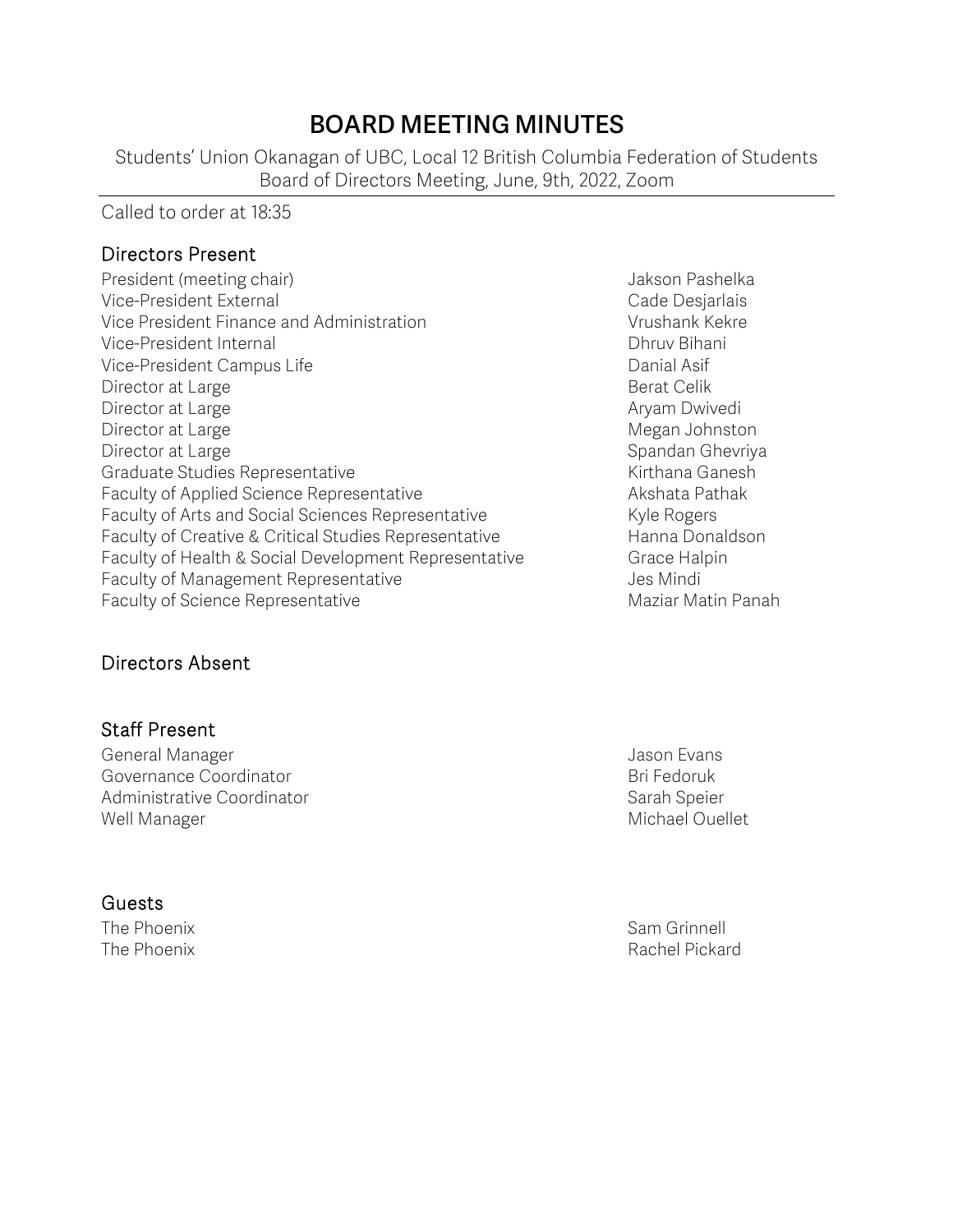# **BOARD MEETING MINUTES**

Students' Union Okanagan of UBC, Local 12 British Columbia Federation of Students Board of Directors Meeting, June, 9th, 2022, Zoom

#### Called to order at 18:35

#### Directors Present

President (meeting chair) Jakson Pashelka Vice-President External **Vice-**President External According to the Cade Desjarlais Vice President Finance and Administration Theorem Controllery Vrushank Kekre Vice-President Internal **Dhruv Bihani** Vice-President Campus Life **Danial Asif** Danial Asif Director at Large **Berat Celik** Berat Celik Director at Large **Aryam Dwivedi Aryam Dwivedi Aryam Dwivedi** Director at Large Megan Johnston Megan Johnston Megan Johnston Megan Johnston Megan Johnston Megan Johnston Megan Johnston Megan Johnston Megan Johnston Megan Johnston Megan Johnston Megan Johnston Megan Johnston Megan Joh Director at Large Spandan Ghevriya and Spandan Ghevriya Spandan Ghevriya Graduate Studies Representative **Kirthana Ganesh** Kirthana Ganesh Faculty of Applied Science Representative **Akshata Pathak** Faculty of Arts and Social Sciences Representative Kyle Rogers Faculty of Creative & Critical Studies Representative Hanna Donaldson Faculty of Health & Social Development Representative Grace Halpin Faculty of Management Representative Faculty of Management Representative Faculty of Science Representative Maciar Maziar Matin Panah

### Directors Absent

### Staff Present

General Manager Jason Evans Governance Coordinator **Bridge Coordinator** Bri Fedoruk Administrative Coordinator Sarah Speier Sarah Speier Well Manager Michael Ouellet

#### Guests

The Phoenix Sam Grinnell and Sam Grinnell and Sam Grinnell and Sam Grinnell and Sam Grinnell and Sam Grinnell The Phoenix **Rachel Pickard**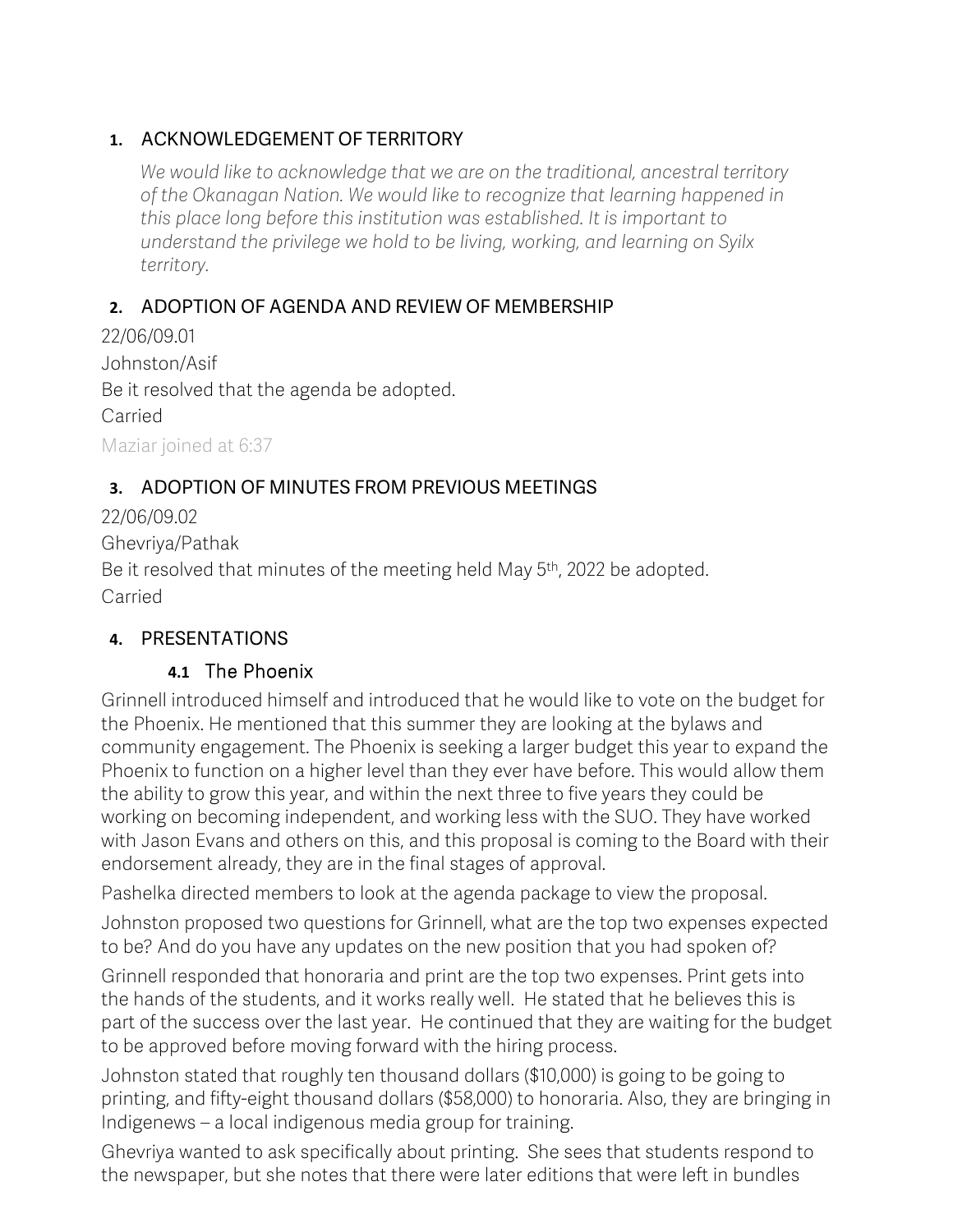### **1.** ACKNOWLEDGEMENT OF TERRITORY

*We would like to acknowledge that we are on the traditional, ancestral territory of the Okanagan Nation. We would like to recognize that learning happened in this place long before this institution was established. It is important to understand the privilege we hold to be living, working, and learning on Syilx territory.*

### **2.** ADOPTION OF AGENDA AND REVIEW OF MEMBERSHIP

22/06/09.01 Johnston/Asif Be it resolved that the agenda be adopted. Carried Maziar joined at 6:37

### **3.** ADOPTION OF MINUTES FROM PREVIOUS MEETINGS

22/06/09.02 Ghevriya/Pathak Be it resolved that minutes of the meeting held May 5<sup>th</sup>, 2022 be adopted. Carried

### **4.** PRESENTATIONS

### **4.1** The Phoenix

Grinnell introduced himself and introduced that he would like to vote on the budget for the Phoenix. He mentioned that this summer they are looking at the bylaws and community engagement. The Phoenix is seeking a larger budget this year to expand the Phoenix to function on a higher level than they ever have before. This would allow them the ability to grow this year, and within the next three to five years they could be working on becoming independent, and working less with the SUO. They have worked with Jason Evans and others on this, and this proposal is coming to the Board with their endorsement already, they are in the final stages of approval.

Pashelka directed members to look at the agenda package to view the proposal.

Johnston proposed two questions for Grinnell, what are the top two expenses expected to be? And do you have any updates on the new position that you had spoken of?

Grinnell responded that honoraria and print are the top two expenses. Print gets into the hands of the students, and it works really well. He stated that he believes this is part of the success over the last year. He continued that they are waiting for the budget to be approved before moving forward with the hiring process.

Johnston stated that roughly ten thousand dollars (\$10,000) is going to be going to printing, and fifty-eight thousand dollars (\$58,000) to honoraria. Also, they are bringing in Indigenews – a local indigenous media group for training.

Ghevriya wanted to ask specifically about printing. She sees that students respond to the newspaper, but she notes that there were later editions that were left in bundles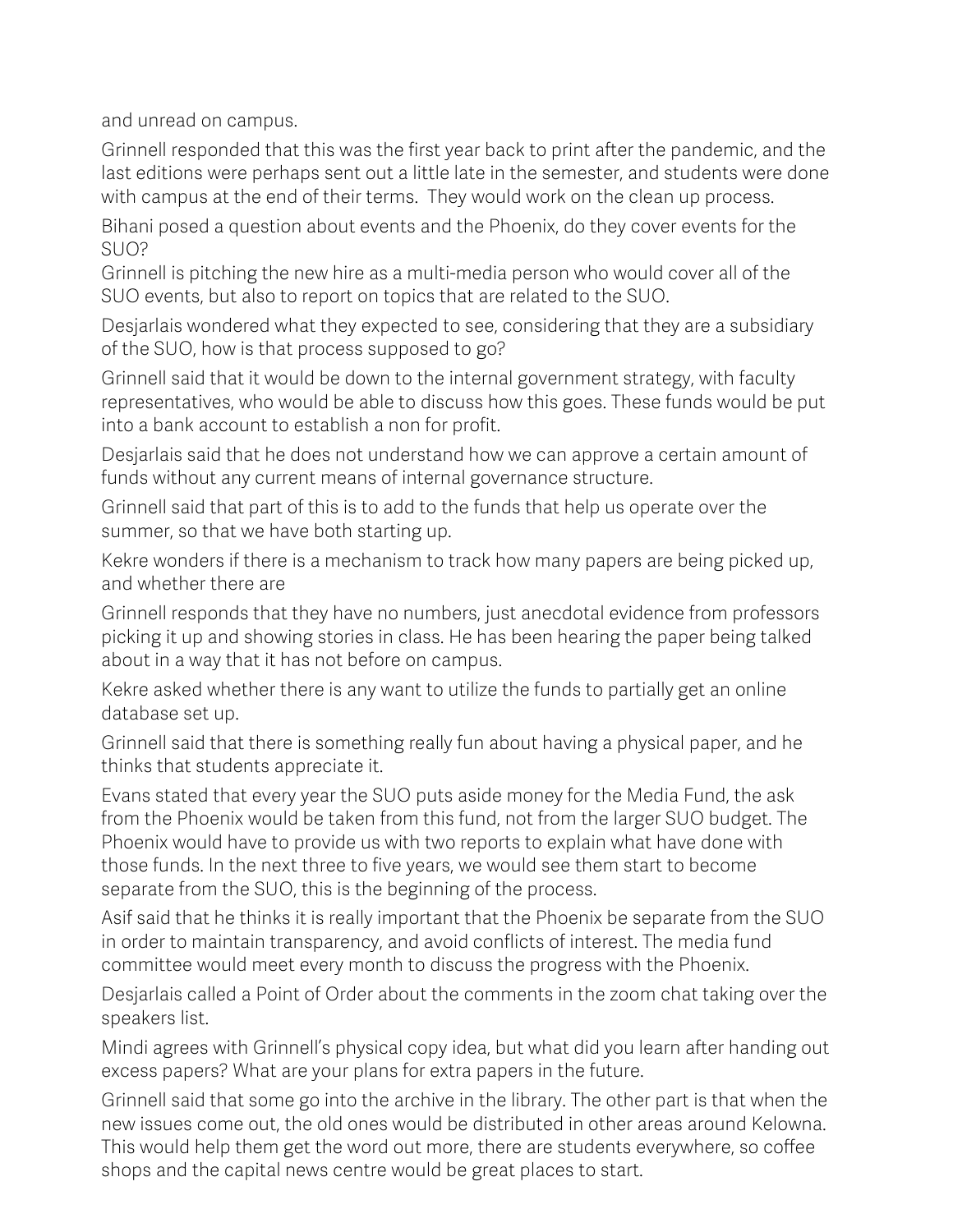and unread on campus.

Grinnell responded that this was the first year back to print after the pandemic, and the last editions were perhaps sent out a little late in the semester, and students were done with campus at the end of their terms. They would work on the clean up process.

Bihani posed a question about events and the Phoenix, do they cover events for the SUO?

Grinnell is pitching the new hire as a multi-media person who would cover all of the SUO events, but also to report on topics that are related to the SUO.

Desjarlais wondered what they expected to see, considering that they are a subsidiary of the SUO, how is that process supposed to go?

Grinnell said that it would be down to the internal government strategy, with faculty representatives, who would be able to discuss how this goes. These funds would be put into a bank account to establish a non for profit.

Desjarlais said that he does not understand how we can approve a certain amount of funds without any current means of internal governance structure.

Grinnell said that part of this is to add to the funds that help us operate over the summer, so that we have both starting up.

Kekre wonders if there is a mechanism to track how many papers are being picked up, and whether there are

Grinnell responds that they have no numbers, just anecdotal evidence from professors picking it up and showing stories in class. He has been hearing the paper being talked about in a way that it has not before on campus.

Kekre asked whether there is any want to utilize the funds to partially get an online database set up.

Grinnell said that there is something really fun about having a physical paper, and he thinks that students appreciate it.

Evans stated that every year the SUO puts aside money for the Media Fund, the ask from the Phoenix would be taken from this fund, not from the larger SUO budget. The Phoenix would have to provide us with two reports to explain what have done with those funds. In the next three to five years, we would see them start to become separate from the SUO, this is the beginning of the process.

Asif said that he thinks it is really important that the Phoenix be separate from the SUO in order to maintain transparency, and avoid conflicts of interest. The media fund committee would meet every month to discuss the progress with the Phoenix.

Desjarlais called a Point of Order about the comments in the zoom chat taking over the speakers list.

Mindi agrees with Grinnell's physical copy idea, but what did you learn after handing out excess papers? What are your plans for extra papers in the future.

Grinnell said that some go into the archive in the library. The other part is that when the new issues come out, the old ones would be distributed in other areas around Kelowna. This would help them get the word out more, there are students everywhere, so coffee shops and the capital news centre would be great places to start.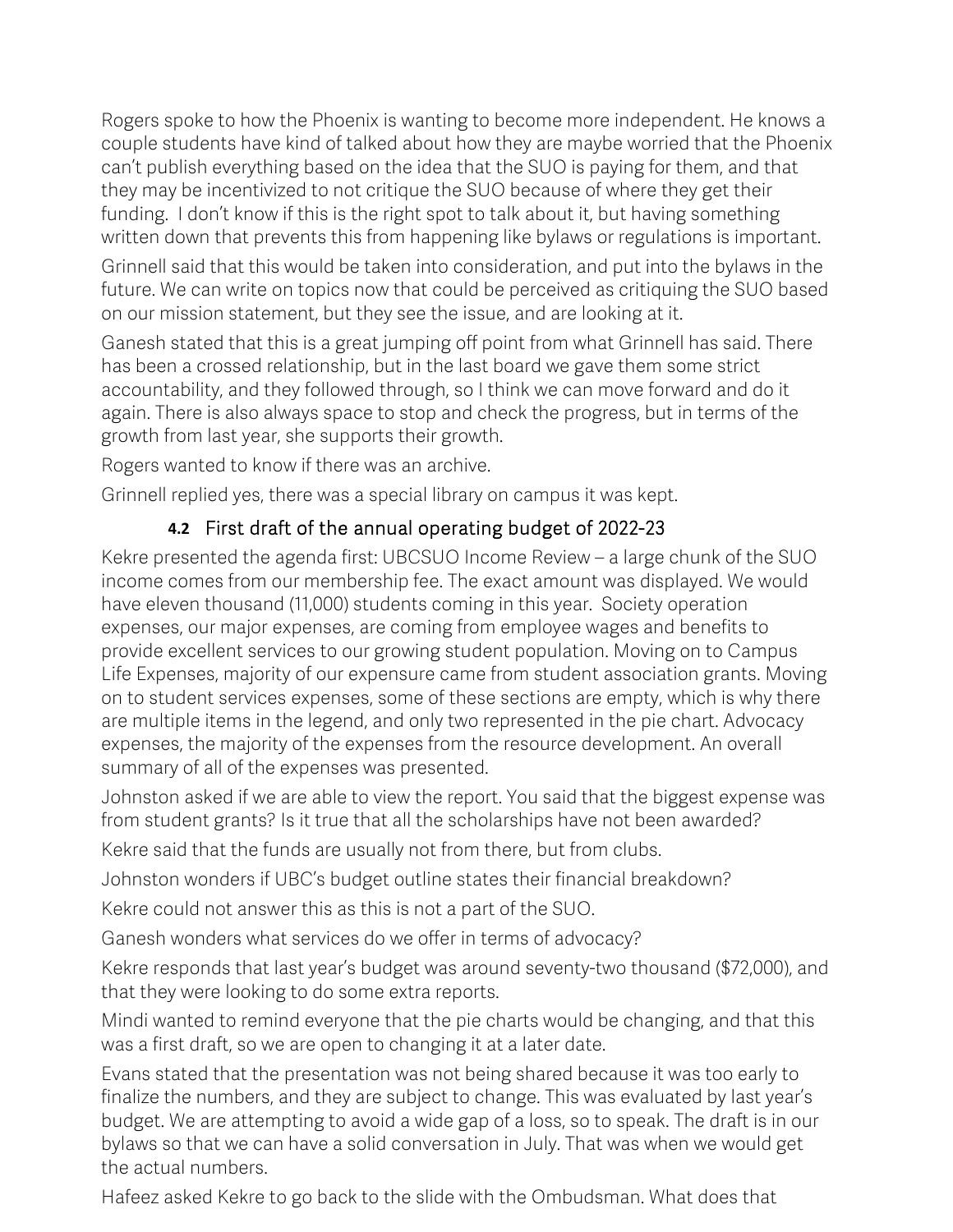Rogers spoke to how the Phoenix is wanting to become more independent. He knows a couple students have kind of talked about how they are maybe worried that the Phoenix can't publish everything based on the idea that the SUO is paying for them, and that they may be incentivized to not critique the SUO because of where they get their funding. I don't know if this is the right spot to talk about it, but having something written down that prevents this from happening like bylaws or regulations is important.

Grinnell said that this would be taken into consideration, and put into the bylaws in the future. We can write on topics now that could be perceived as critiquing the SUO based on our mission statement, but they see the issue, and are looking at it.

Ganesh stated that this is a great jumping off point from what Grinnell has said. There has been a crossed relationship, but in the last board we gave them some strict accountability, and they followed through, so I think we can move forward and do it again. There is also always space to stop and check the progress, but in terms of the growth from last year, she supports their growth.

Rogers wanted to know if there was an archive.

Grinnell replied yes, there was a special library on campus it was kept.

# **4.2** First draft of the annual operating budget of 2022-23

Kekre presented the agenda first: UBCSUO Income Review – a large chunk of the SUO income comes from our membership fee. The exact amount was displayed. We would have eleven thousand (11,000) students coming in this year. Society operation expenses, our major expenses, are coming from employee wages and benefits to provide excellent services to our growing student population. Moving on to Campus Life Expenses, majority of our expensure came from student association grants. Moving on to student services expenses, some of these sections are empty, which is why there are multiple items in the legend, and only two represented in the pie chart. Advocacy expenses, the majority of the expenses from the resource development. An overall summary of all of the expenses was presented.

Johnston asked if we are able to view the report. You said that the biggest expense was from student grants? Is it true that all the scholarships have not been awarded?

Kekre said that the funds are usually not from there, but from clubs.

Johnston wonders if UBC's budget outline states their financial breakdown?

Kekre could not answer this as this is not a part of the SUO.

Ganesh wonders what services do we offer in terms of advocacy?

Kekre responds that last year's budget was around seventy-two thousand (\$72,000), and that they were looking to do some extra reports.

Mindi wanted to remind everyone that the pie charts would be changing, and that this was a first draft, so we are open to changing it at a later date.

Evans stated that the presentation was not being shared because it was too early to finalize the numbers, and they are subject to change. This was evaluated by last year's budget. We are attempting to avoid a wide gap of a loss, so to speak. The draft is in our bylaws so that we can have a solid conversation in July. That was when we would get the actual numbers.

Hafeez asked Kekre to go back to the slide with the Ombudsman. What does that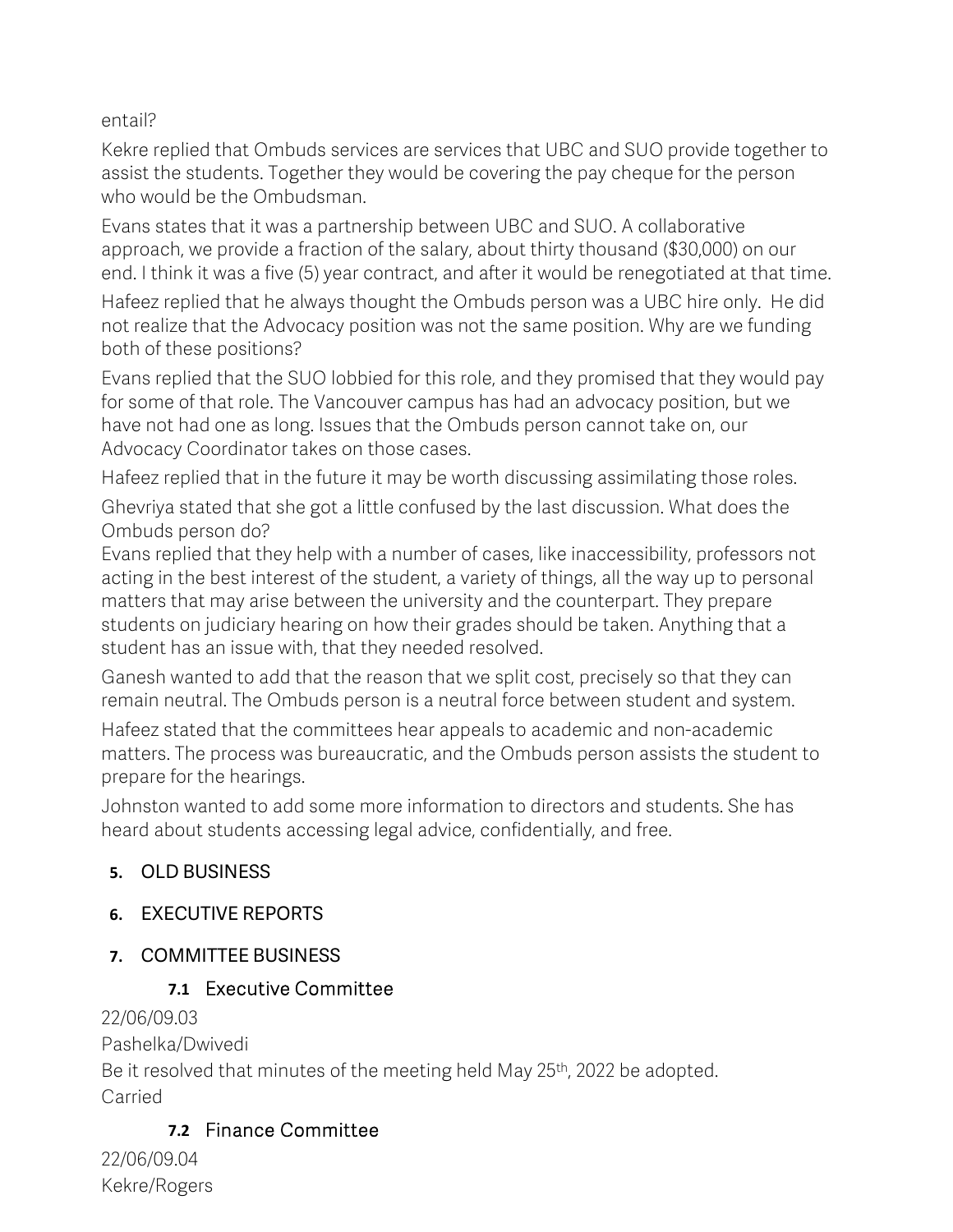entail?

Kekre replied that Ombuds services are services that UBC and SUO provide together to assist the students. Together they would be covering the pay cheque for the person who would be the Ombudsman.

Evans states that it was a partnership between UBC and SUO. A collaborative approach, we provide a fraction of the salary, about thirty thousand (\$30,000) on our end. I think it was a five (5) year contract, and after it would be renegotiated at that time.

Hafeez replied that he always thought the Ombuds person was a UBC hire only. He did not realize that the Advocacy position was not the same position. Why are we funding both of these positions?

Evans replied that the SUO lobbied for this role, and they promised that they would pay for some of that role. The Vancouver campus has had an advocacy position, but we have not had one as long. Issues that the Ombuds person cannot take on, our Advocacy Coordinator takes on those cases.

Hafeez replied that in the future it may be worth discussing assimilating those roles.

Ghevriya stated that she got a little confused by the last discussion. What does the Ombuds person do?

Evans replied that they help with a number of cases, like inaccessibility, professors not acting in the best interest of the student, a variety of things, all the way up to personal matters that may arise between the university and the counterpart. They prepare students on judiciary hearing on how their grades should be taken. Anything that a student has an issue with, that they needed resolved.

Ganesh wanted to add that the reason that we split cost, precisely so that they can remain neutral. The Ombuds person is a neutral force between student and system.

Hafeez stated that the committees hear appeals to academic and non-academic matters. The process was bureaucratic, and the Ombuds person assists the student to prepare for the hearings.

Johnston wanted to add some more information to directors and students. She has heard about students accessing legal advice, confidentially, and free.

# **5.** OLD BUSINESS

# **6.** EXECUTIVE REPORTS

# **7.** COMMITTEE BUSINESS

# **7.1** Executive Committee

### 22/06/09.03

Pashelka/Dwivedi

Be it resolved that minutes of the meeting held May 25<sup>th</sup>, 2022 be adopted. Carried

# **7.2** Finance Committee

22/06/09.04 Kekre/Rogers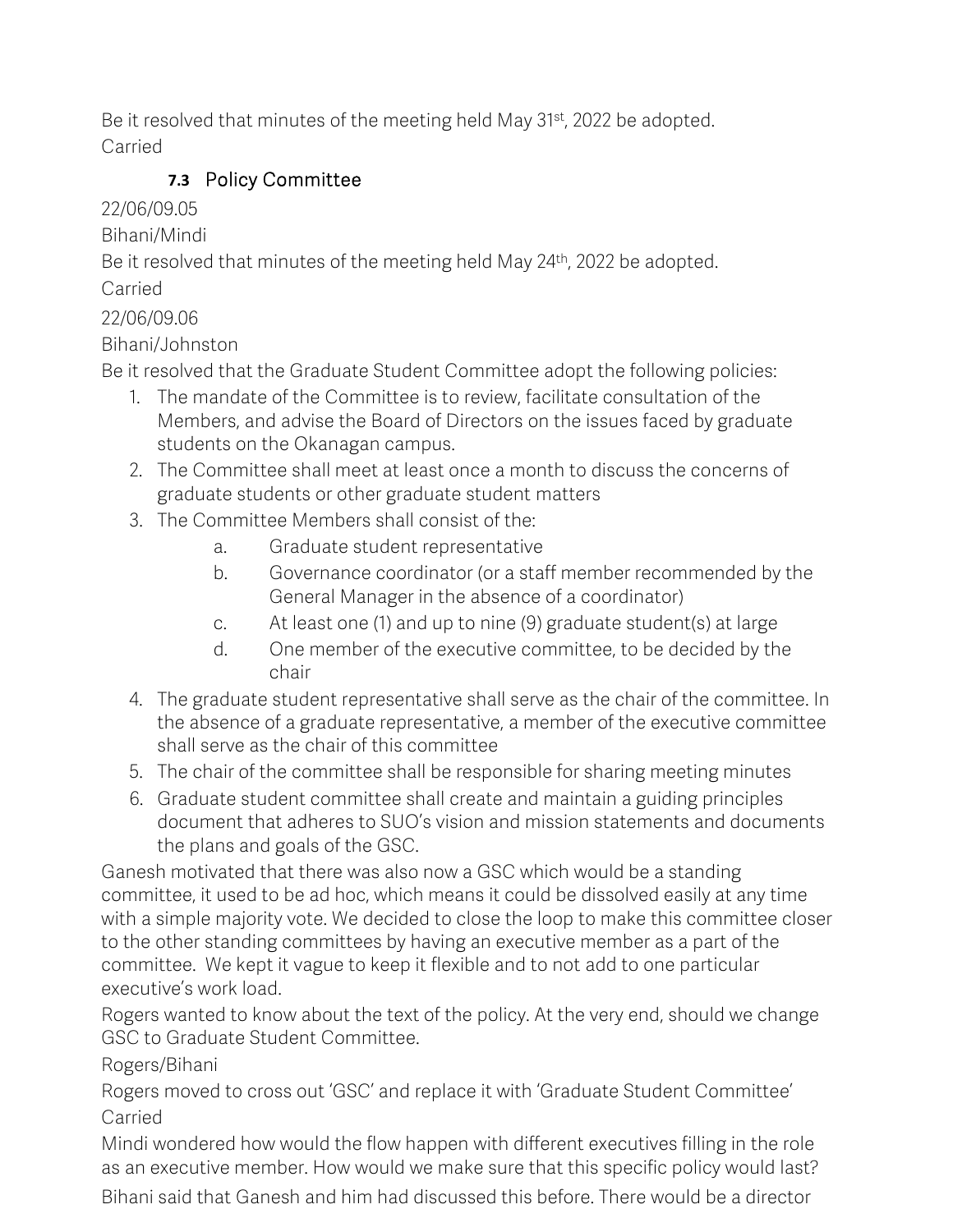Be it resolved that minutes of the meeting held May 31<sup>st</sup>, 2022 be adopted. Carried

# **7.3** Policy Committee

22/06/09.05

Bihani/Mindi

Be it resolved that minutes of the meeting held May 24<sup>th</sup>, 2022 be adopted.

Carried

22/06/09.06

Bihani/Johnston

Be it resolved that the Graduate Student Committee adopt the following policies:

- 1. The mandate of the Committee is to review, facilitate consultation of the Members, and advise the Board of Directors on the issues faced by graduate students on the Okanagan campus.
- 2. The Committee shall meet at least once a month to discuss the concerns of graduate students or other graduate student matters
- 3. The Committee Members shall consist of the:
	- a. Graduate student representative
	- b. Governance coordinator (or a staff member recommended by the General Manager in the absence of a coordinator)
	- c. At least one (1) and up to nine (9) graduate student(s) at large
	- d. One member of the executive committee, to be decided by the chair
- 4. The graduate student representative shall serve as the chair of the committee. In the absence of a graduate representative, a member of the executive committee shall serve as the chair of this committee
- 5. The chair of the committee shall be responsible for sharing meeting minutes
- 6. Graduate student committee shall create and maintain a guiding principles document that adheres to SUO's vision and mission statements and documents the plans and goals of the GSC.

Ganesh motivated that there was also now a GSC which would be a standing committee, it used to be ad hoc, which means it could be dissolved easily at any time with a simple majority vote. We decided to close the loop to make this committee closer to the other standing committees by having an executive member as a part of the committee. We kept it vague to keep it flexible and to not add to one particular executive's work load.

Rogers wanted to know about the text of the policy. At the very end, should we change GSC to Graduate Student Committee.

Rogers/Bihani

Rogers moved to cross out 'GSC' and replace it with 'Graduate Student Committee' Carried

Mindi wondered how would the flow happen with different executives filling in the role as an executive member. How would we make sure that this specific policy would last?

Bihani said that Ganesh and him had discussed this before. There would be a director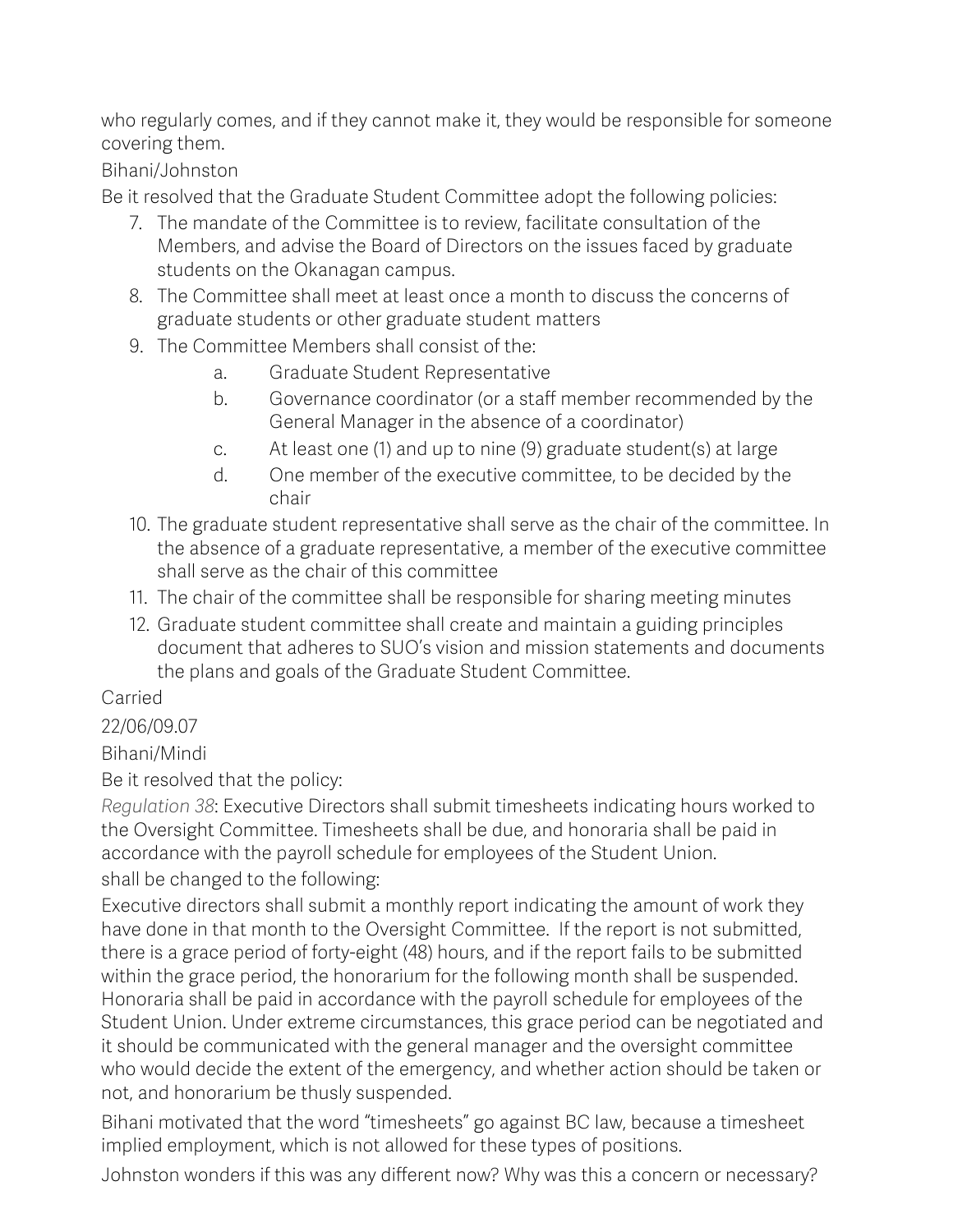who regularly comes, and if they cannot make it, they would be responsible for someone covering them.

Bihani/Johnston

Be it resolved that the Graduate Student Committee adopt the following policies:

- 7. The mandate of the Committee is to review, facilitate consultation of the Members, and advise the Board of Directors on the issues faced by graduate students on the Okanagan campus.
- 8. The Committee shall meet at least once a month to discuss the concerns of graduate students or other graduate student matters
- 9. The Committee Members shall consist of the:
	- a. Graduate Student Representative
	- b. Governance coordinator (or a staff member recommended by the General Manager in the absence of a coordinator)
	- c. At least one (1) and up to nine (9) graduate student(s) at large
	- d. One member of the executive committee, to be decided by the chair
- 10. The graduate student representative shall serve as the chair of the committee. In the absence of a graduate representative, a member of the executive committee shall serve as the chair of this committee
- 11. The chair of the committee shall be responsible for sharing meeting minutes
- 12. Graduate student committee shall create and maintain a guiding principles document that adheres to SUO's vision and mission statements and documents the plans and goals of the Graduate Student Committee.

### Carried

### 22/06/09.07

Bihani/Mindi

Be it resolved that the policy:

*Regulation 38*: Executive Directors shall submit timesheets indicating hours worked to the Oversight Committee. Timesheets shall be due, and honoraria shall be paid in accordance with the payroll schedule for employees of the Student Union. shall be changed to the following:

Executive directors shall submit a monthly report indicating the amount of work they have done in that month to the Oversight Committee. If the report is not submitted, there is a grace period of forty-eight (48) hours, and if the report fails to be submitted within the grace period, the honorarium for the following month shall be suspended. Honoraria shall be paid in accordance with the payroll schedule for employees of the Student Union. Under extreme circumstances, this grace period can be negotiated and it should be communicated with the general manager and the oversight committee who would decide the extent of the emergency, and whether action should be taken or not, and honorarium be thusly suspended.

Bihani motivated that the word "timesheets" go against BC law, because a timesheet implied employment, which is not allowed for these types of positions.

Johnston wonders if this was any different now? Why was this a concern or necessary?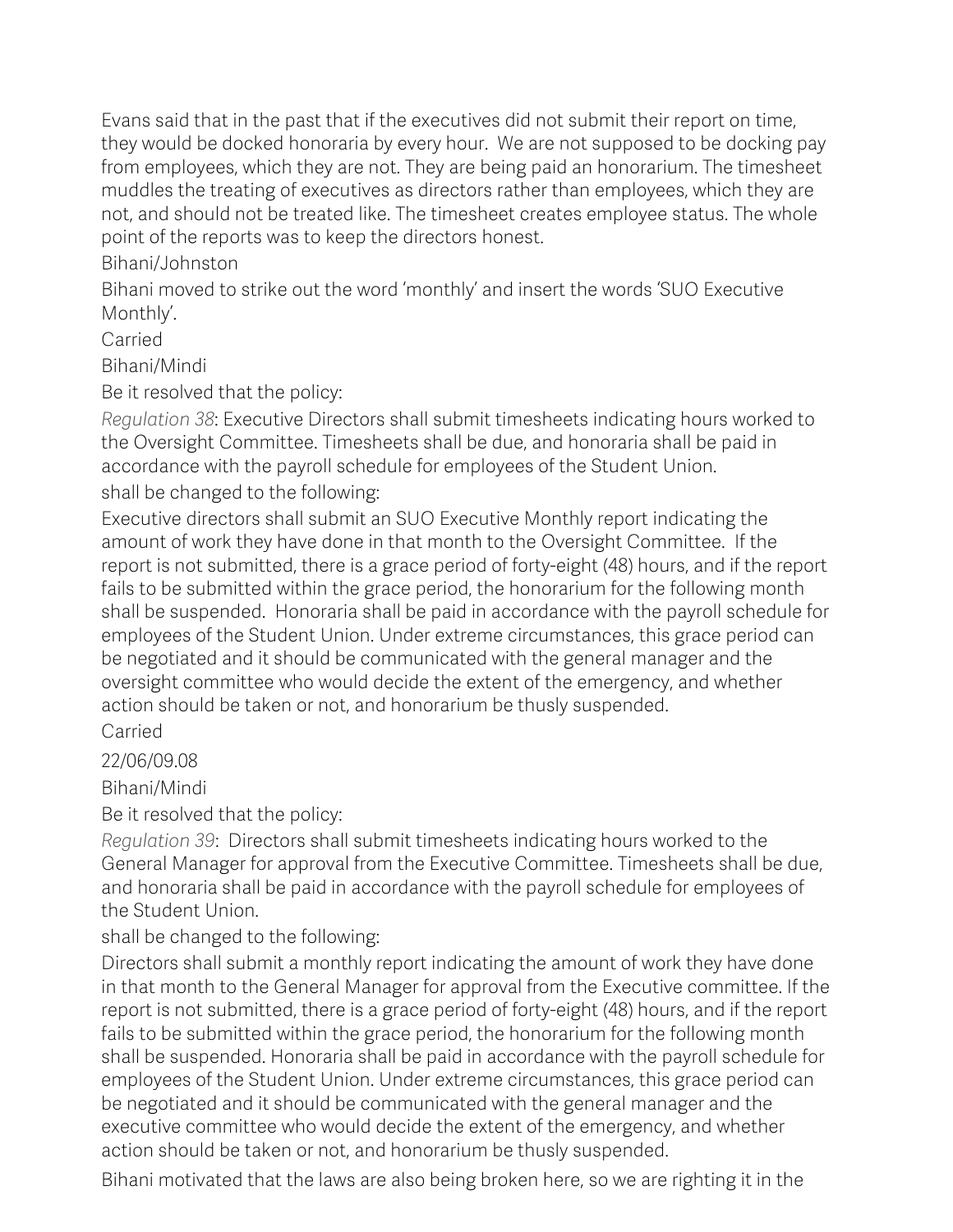Evans said that in the past that if the executives did not submit their report on time, they would be docked honoraria by every hour. We are not supposed to be docking pay from employees, which they are not. They are being paid an honorarium. The timesheet muddles the treating of executives as directors rather than employees, which they are not, and should not be treated like. The timesheet creates employee status. The whole point of the reports was to keep the directors honest.

Bihani/Johnston

Bihani moved to strike out the word 'monthly' and insert the words 'SUO Executive Monthly'.

Carried

Bihani/Mindi

Be it resolved that the policy:

*Regulation 38*: Executive Directors shall submit timesheets indicating hours worked to the Oversight Committee. Timesheets shall be due, and honoraria shall be paid in accordance with the payroll schedule for employees of the Student Union. shall be changed to the following:

Executive directors shall submit an SUO Executive Monthly report indicating the amount of work they have done in that month to the Oversight Committee. If the report is not submitted, there is a grace period of forty-eight (48) hours, and if the report fails to be submitted within the grace period, the honorarium for the following month shall be suspended. Honoraria shall be paid in accordance with the payroll schedule for employees of the Student Union. Under extreme circumstances, this grace period can be negotiated and it should be communicated with the general manager and the oversight committee who would decide the extent of the emergency, and whether action should be taken or not, and honorarium be thusly suspended.

Carried

22/06/09.08

Bihani/Mindi

Be it resolved that the policy:

*Regulation 39*: Directors shall submit timesheets indicating hours worked to the General Manager for approval from the Executive Committee. Timesheets shall be due, and honoraria shall be paid in accordance with the payroll schedule for employees of the Student Union.

shall be changed to the following:

Directors shall submit a monthly report indicating the amount of work they have done in that month to the General Manager for approval from the Executive committee. If the report is not submitted, there is a grace period of forty-eight (48) hours, and if the report fails to be submitted within the grace period, the honorarium for the following month shall be suspended. Honoraria shall be paid in accordance with the payroll schedule for employees of the Student Union. Under extreme circumstances, this grace period can be negotiated and it should be communicated with the general manager and the executive committee who would decide the extent of the emergency, and whether action should be taken or not, and honorarium be thusly suspended.

Bihani motivated that the laws are also being broken here, so we are righting it in the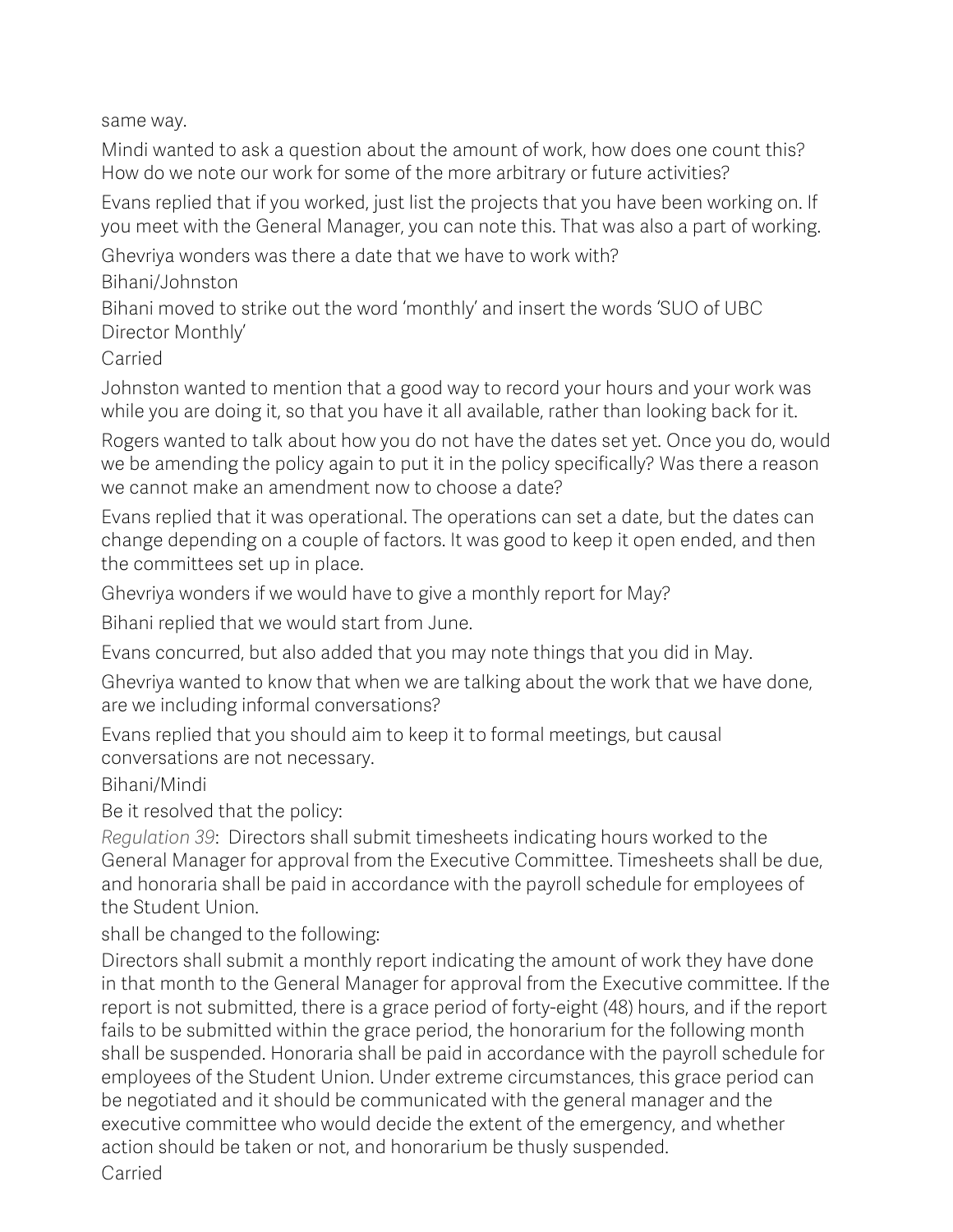same way.

Mindi wanted to ask a question about the amount of work, how does one count this? How do we note our work for some of the more arbitrary or future activities?

Evans replied that if you worked, just list the projects that you have been working on. If you meet with the General Manager, you can note this. That was also a part of working.

Ghevriya wonders was there a date that we have to work with?

Bihani/Johnston

Bihani moved to strike out the word 'monthly' and insert the words 'SUO of UBC Director Monthly'

Carried

Johnston wanted to mention that a good way to record your hours and your work was while you are doing it, so that you have it all available, rather than looking back for it.

Rogers wanted to talk about how you do not have the dates set yet. Once you do, would we be amending the policy again to put it in the policy specifically? Was there a reason we cannot make an amendment now to choose a date?

Evans replied that it was operational. The operations can set a date, but the dates can change depending on a couple of factors. It was good to keep it open ended, and then the committees set up in place.

Ghevriya wonders if we would have to give a monthly report for May?

Bihani replied that we would start from June.

Evans concurred, but also added that you may note things that you did in May.

Ghevriya wanted to know that when we are talking about the work that we have done, are we including informal conversations?

Evans replied that you should aim to keep it to formal meetings, but causal conversations are not necessary.

Bihani/Mindi

Be it resolved that the policy:

*Regulation 39*: Directors shall submit timesheets indicating hours worked to the General Manager for approval from the Executive Committee. Timesheets shall be due, and honoraria shall be paid in accordance with the payroll schedule for employees of the Student Union.

shall be changed to the following:

Directors shall submit a monthly report indicating the amount of work they have done in that month to the General Manager for approval from the Executive committee. If the report is not submitted, there is a grace period of forty-eight (48) hours, and if the report fails to be submitted within the grace period, the honorarium for the following month shall be suspended. Honoraria shall be paid in accordance with the payroll schedule for employees of the Student Union. Under extreme circumstances, this grace period can be negotiated and it should be communicated with the general manager and the executive committee who would decide the extent of the emergency, and whether action should be taken or not, and honorarium be thusly suspended.

Carried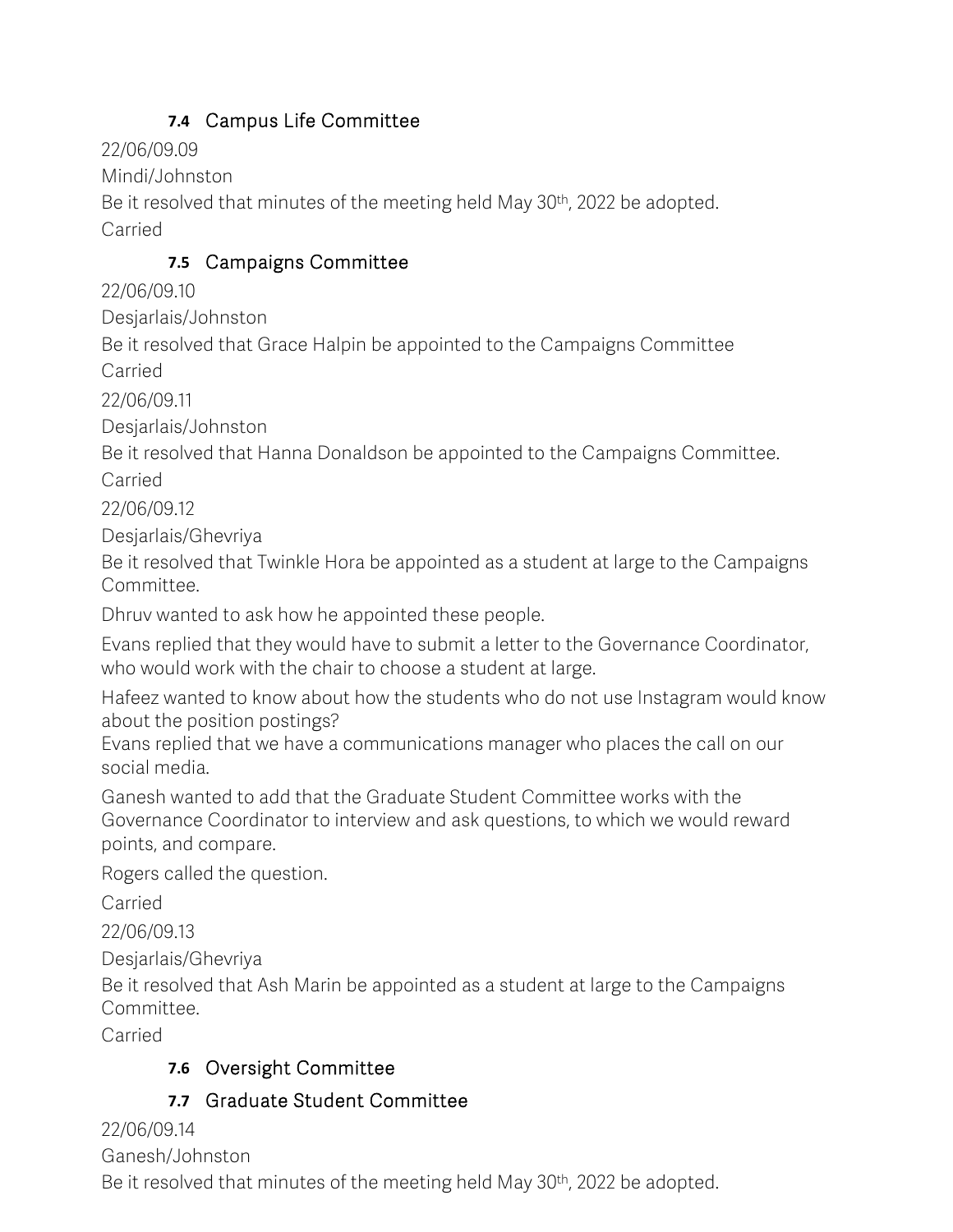# **7.4** Campus Life Committee

22/06/09.09

Mindi/Johnston

Be it resolved that minutes of the meeting held May 30<sup>th</sup>, 2022 be adopted. Carried

### **7.5** Campaigns Committee

22/06/09.10

Desjarlais/Johnston

Be it resolved that Grace Halpin be appointed to the Campaigns Committee Carried

22/06/09.11

Desjarlais/Johnston

Be it resolved that Hanna Donaldson be appointed to the Campaigns Committee.

Carried

22/06/09.12

Desjarlais/Ghevriya

Be it resolved that Twinkle Hora be appointed as a student at large to the Campaigns Committee.

Dhruv wanted to ask how he appointed these people.

Evans replied that they would have to submit a letter to the Governance Coordinator, who would work with the chair to choose a student at large.

Hafeez wanted to know about how the students who do not use Instagram would know about the position postings?

Evans replied that we have a communications manager who places the call on our social media.

Ganesh wanted to add that the Graduate Student Committee works with the Governance Coordinator to interview and ask questions, to which we would reward points, and compare.

Rogers called the question.

Carried

22/06/09.13

Desjarlais/Ghevriya

Be it resolved that Ash Marin be appointed as a student at large to the Campaigns Committee.

Carried

### **7.6** Oversight Committee

### **7.7** Graduate Student Committee

22/06/09.14

Ganesh/Johnston

Be it resolved that minutes of the meeting held May 30<sup>th</sup>, 2022 be adopted.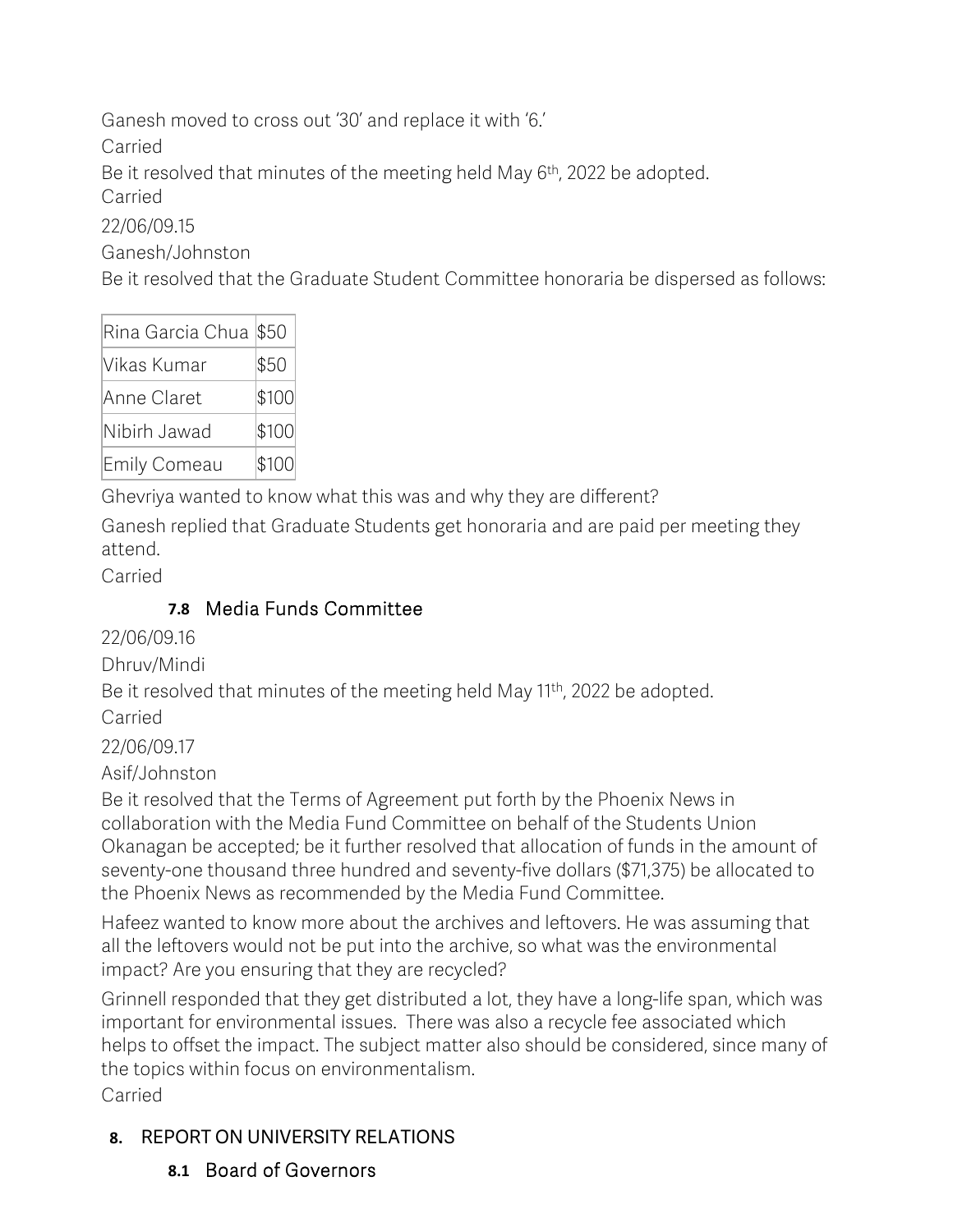Ganesh moved to cross out '30' and replace it with '6.'

Carried

Be it resolved that minutes of the meeting held May 6<sup>th</sup>, 2022 be adopted.

Carried

22/06/09.15

Ganesh/Johnston

Be it resolved that the Graduate Student Committee honoraria be dispersed as follows:

| Rina Garcia Chua \$50 |       |
|-----------------------|-------|
| Vikas Kumar           | \$50  |
| Anne Claret           | \$100 |
| Nibirh Jawad          | \$100 |
| <b>Emily Comeau</b>   | \$100 |

Ghevriya wanted to know what this was and why they are different?

Ganesh replied that Graduate Students get honoraria and are paid per meeting they attend.

Carried

# **7.8** Media Funds Committee

22/06/09.16

Dhruv/Mindi

Be it resolved that minutes of the meeting held May 11<sup>th</sup>, 2022 be adopted. Carried

22/06/09.17

Asif/Johnston

Be it resolved that the Terms of Agreement put forth by the Phoenix News in collaboration with the Media Fund Committee on behalf of the Students Union Okanagan be accepted; be it further resolved that allocation of funds in the amount of seventy-one thousand three hundred and seventy-five dollars (\$71,375) be allocated to the Phoenix News as recommended by the Media Fund Committee.

Hafeez wanted to know more about the archives and leftovers. He was assuming that all the leftovers would not be put into the archive, so what was the environmental impact? Are you ensuring that they are recycled?

Grinnell responded that they get distributed a lot, they have a long-life span, which was important for environmental issues. There was also a recycle fee associated which helps to offset the impact. The subject matter also should be considered, since many of the topics within focus on environmentalism.

Carried

# **8.** REPORT ON UNIVERSITY RELATIONS

**8.1** Board of Governors